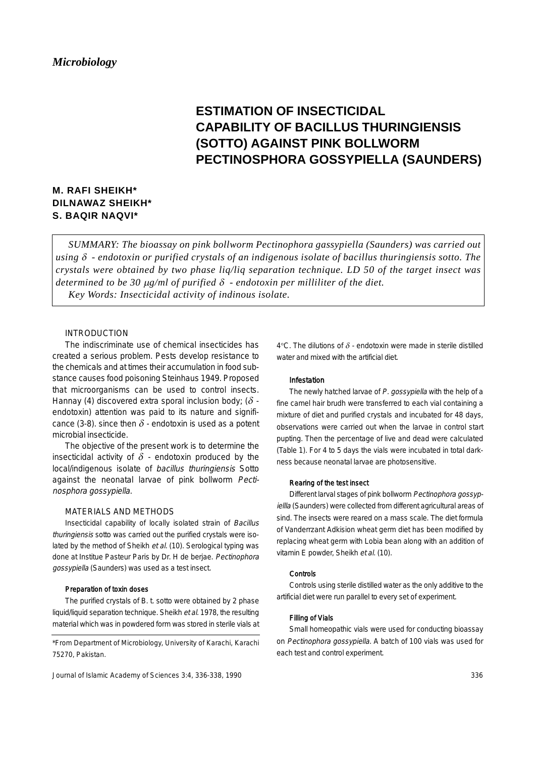## *Microbiology*

# **ESTIMATION OF INSECTICIDAL CAPABILITY OF BACILLUS THURINGIENSIS (SOTTO) AGAINST PINK BOLLWORM PECTINOSPHORA GOSSYPIELLA (SAUNDERS)**

# **M. RAFI SHEIKH\* DILNAWAZ SHEIKH\* S. BAQIR NAQVI\***

*SUMMARY: The bioassay on pink bollworm Pectinophora gassypiella (Saunders) was carried out using* δ *- endotoxin or purified crystals of an indigenous isolate of bacillus thuringiensis sotto. The crystals were obtained by two phase liq/liq separation technique. LD 50 of the target insect was determined to be 30* µ*g/ml of purified* <sup>δ</sup> *- endotoxin per milliliter of the diet. Key Words: Insecticidal activity of indinous isolate.*

## INTRODUCTION

The indiscriminate use of chemical insecticides has created a serious problem. Pests develop resistance to the chemicals and at times their accumulation in food substance causes food poisoning Steinhaus 1949. Proposed that microorganisms can be used to control insects. Hannay (4) discovered extra sporal inclusion body; ( $\delta$  endotoxin) attention was paid to its nature and significance (3-8). since then  $\delta$  - endotoxin is used as a potent microbial insecticide.

The objective of the present work is to determine the insecticidal activity of  $\delta$  - endotoxin produced by the local/indigenous isolate of bacillus thuringiensis Sotto against the neonatal larvae of pink bollworm Pectinosphora gossypiella.

#### MATERIALS AND METHODS

Insecticidal capability of locally isolated strain of Bacillus thuringiensis sotto was carried out the purified crystals were isolated by the method of Sheikh et al. (10). Serological typing was done at Institue Pasteur Paris by Dr. H de berjae. Pectinophora gossypiella (Saunders) was used as a test insect.

#### Preparation of toxin doses

The purified crystals of B. t. sotto were obtained by 2 phase liquid/liquid separation technique. Sheikh et al. 1978, the resulting material which was in powdered form was stored in sterile vials at

\*From Department of Microbiology, University of Karachi, Karachi 75270, Pakistan.

Journal of Islamic Academy of Sciences 3:4, 336-338, 1990

4 $\degree$ C. The dilutions of  $\delta$  - endotoxin were made in sterile distilled water and mixed with the artificial diet.

## Infestation

The newly hatched larvae of P. gossypiella with the help of a fine camel hair brudh were transferred to each vial containing a mixture of diet and purified crystals and incubated for 48 days, observations were carried out when the larvae in control start pupting. Then the percentage of live and dead were calculated (Table 1). For 4 to 5 days the vials were incubated in total darkness because neonatal larvae are photosensitive.

#### Rearing of the test insect

Different larval stages of pink bollworm Pectinophora gossypiellla (Saunders) were collected from different agricultural areas of sind. The insects were reared on a mass scale. The diet formula of Vanderrzant Adkision wheat germ diet has been modified by replacing wheat germ with Lobia bean along with an addition of vitamin E powder, Sheikh et al. (10).

#### **Controls**

Controls using sterile distilled water as the only additive to the artificial diet were run parallel to every set of experiment.

## Filling of Vials

Small homeopathic vials were used for conducting bioassay on Pectinophora gossypiella. A batch of 100 vials was used for each test and control experiment.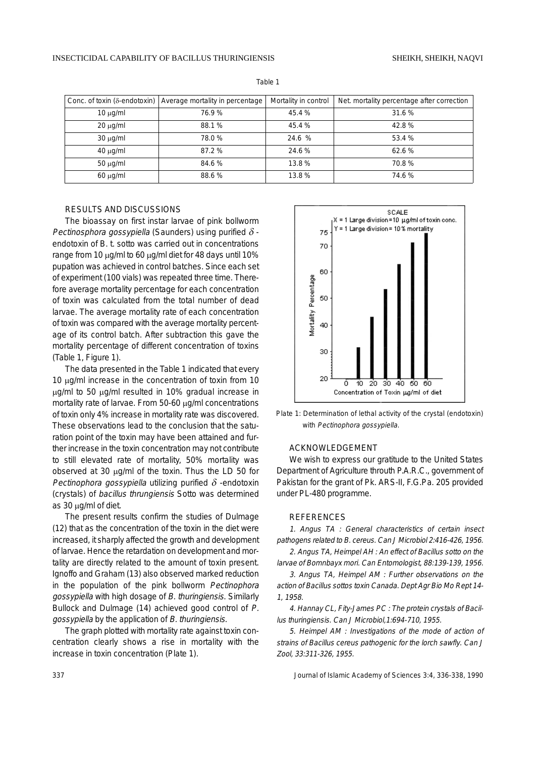|               | Conc. of toxin ( $\delta$ -endotoxin)   Average mortality in percentage | Mortality in control | Net. mortality percentage after correction |
|---------------|-------------------------------------------------------------------------|----------------------|--------------------------------------------|
| $10 \mu q/ml$ | 76.9%                                                                   | 45.4 %               | 31.6 %                                     |
| $20 \mu q/ml$ | 88.1%                                                                   | 45.4 %               | 42.8%                                      |
| $30 \mu q/ml$ | 78.0%                                                                   | 24.6 %               | 53.4 %                                     |
| $40 \mu q/ml$ | 87.2%                                                                   | 24.6 %               | 62.6%                                      |
| $50 \mu q/ml$ | 84.6%                                                                   | 13.8%                | 70.8%                                      |
| $60 \mu q/ml$ | 88.6%                                                                   | 13.8%                | 74.6%                                      |

Table 1

## RESULTS AND DISCUSSIONS

The bioassay on first instar larvae of pink bollworm Pectinosphora gossypiella (Saunders) using purified  $\delta$  endotoxin of B. t. sotto was carried out in concentrations range from 10  $\mu$ g/ml to 60  $\mu$ g/ml diet for 48 days until 10% pupation was achieved in control batches. Since each set of experiment (100 vials) was repeated three time. Therefore average mortality percentage for each concentration of toxin was calculated from the total number of dead larvae. The average mortality rate of each concentration of toxin was compared with the average mortality percentage of its control batch. After subtraction this gave the mortality percentage of different concentration of toxins (Table 1, Figure 1).

The data presented in the Table 1 indicated that every 10  $\mu$ g/ml increase in the concentration of toxin from 10 µg/ml to 50 µg/ml resulted in 10% gradual increase in mortality rate of larvae. From 50-60 µg/ml concentrations of toxin only 4% increase in mortality rate was discovered. These observations lead to the conclusion that the saturation point of the toxin may have been attained and further increase in the toxin concentration may not contribute to still elevated rate of mortality, 50% mortality was observed at 30 µg/ml of the toxin. Thus the LD 50 for Pectinophora gossypiella utilizing purified  $\delta$  -endotoxin (crystals) of bacillus thrungiensis Sotto was determined as 30 µg/ml of diet.

The present results confirm the studies of Dulmage (12) that as the concentration of the toxin in the diet were increased, it sharply affected the growth and development of larvae. Hence the retardation on development and mortality are directly related to the amount of toxin present. Ignoffo and Graham (13) also observed marked reduction in the population of the pink bollworm Pectinophora gossypiella with high dosage of B. thuringiensis. Similarly Bullock and Dulmage (14) achieved good control of P. gossypiella by the application of B. thuringiensis.

The graph plotted with mortality rate against toxin concentration clearly shows a rise in mortality with the increase in toxin concentration (Plate 1).



Plate 1: Determination of lethal activity of the crystal (endotoxin) with Pectinophora gossypiella.

## ACKNOWLEDGEMENT

We wish to express our gratitude to the United States Department of Agriculture throuth P.A.R.C., government of Pakistan for the grant of Pk. ARS-II, F.G.Pa. 205 provided under PL-480 programme.

#### REFERENCES

1. Angus TA : General characteristics of certain insect pathogens related to B. cereus. Can J Microbiol 2:416-426, 1956.

2. Angus TA, Heimpel AH : An effect of Bacillus sotto on the larvae of Bomnbayx mori. Can Entomologist, 88:139-139, 1956.

3. Angus TA, Heimpel AM : Further observations on the action of Bacillus sottos toxin Canada. Dept Agr Bio Mo Rept 14- 1, 1958.

4. Hannay CL, Fity-James PC : The protein crystals of Bacillus thuringiensis. Can J Microbiol,1:694-710, 1955.

5. Heimpel AM : Investigations of the mode of action of strains of Bacillus cereus pathogenic for the lorch sawfly. Can J Zool, 33:311-326, 1955.

337 Journal of Islamic Academy of Sciences 3:4, 336-338, 1990